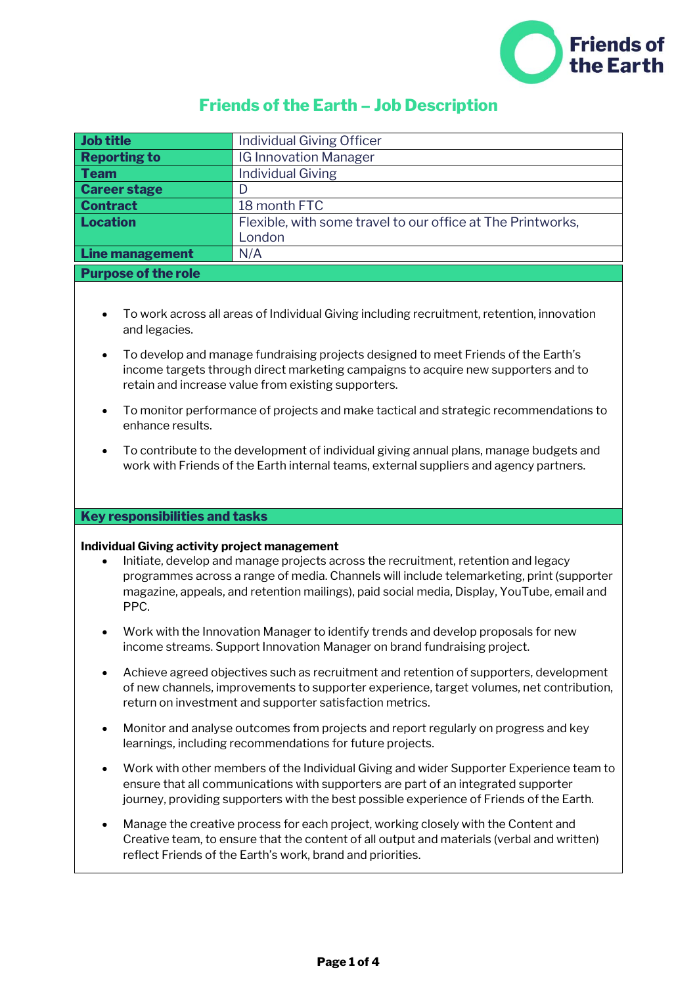

# **Friends of the Earth – Job Description**

| Job title                  | <b>Individual Giving Officer</b>                            |  |
|----------------------------|-------------------------------------------------------------|--|
| <b>Reporting to</b>        | <b>IG Innovation Manager</b>                                |  |
| <b>Team</b>                | <b>Individual Giving</b>                                    |  |
| <b>Career stage</b>        |                                                             |  |
| <b>Contract</b>            | 18 month FTC                                                |  |
| Location                   | Flexible, with some travel to our office at The Printworks, |  |
|                            | London                                                      |  |
| Line management            | N/A                                                         |  |
| <b>Purpose of the role</b> |                                                             |  |

- To work across all areas of Individual Giving including recruitment, retention, innovation and legacies.
- To develop and manage fundraising projects designed to meet Friends of the Earth's income targets through direct marketing campaigns to acquire new supporters and to retain and increase value from existing supporters.
- To monitor performance of projects and make tactical and strategic recommendations to enhance results.
- To contribute to the development of individual giving annual plans, manage budgets and work with Friends of the Earth internal teams, external suppliers and agency partners.

## **Key responsibilities and tasks**

## **Individual Giving activity project management**

- Initiate, develop and manage projects across the recruitment, retention and legacy programmes across a range of media. Channels will include telemarketing, print (supporter magazine, appeals, and retention mailings), paid social media, Display, YouTube, email and PPC.
- Work with the Innovation Manager to identify trends and develop proposals for new income streams. Support Innovation Manager on brand fundraising project.
- Achieve agreed objectives such as recruitment and retention of supporters, development of new channels, improvements to supporter experience, target volumes, net contribution, return on investment and supporter satisfaction metrics.
- Monitor and analyse outcomes from projects and report regularly on progress and key learnings, including recommendations for future projects.
- Work with other members of the Individual Giving and wider Supporter Experience team to ensure that all communications with supporters are part of an integrated supporter journey, providing supporters with the best possible experience of Friends of the Earth.
- Manage the creative process for each project, working closely with the Content and Creative team, to ensure that the content of all output and materials (verbal and written) reflect Friends of the Earth's work, brand and priorities.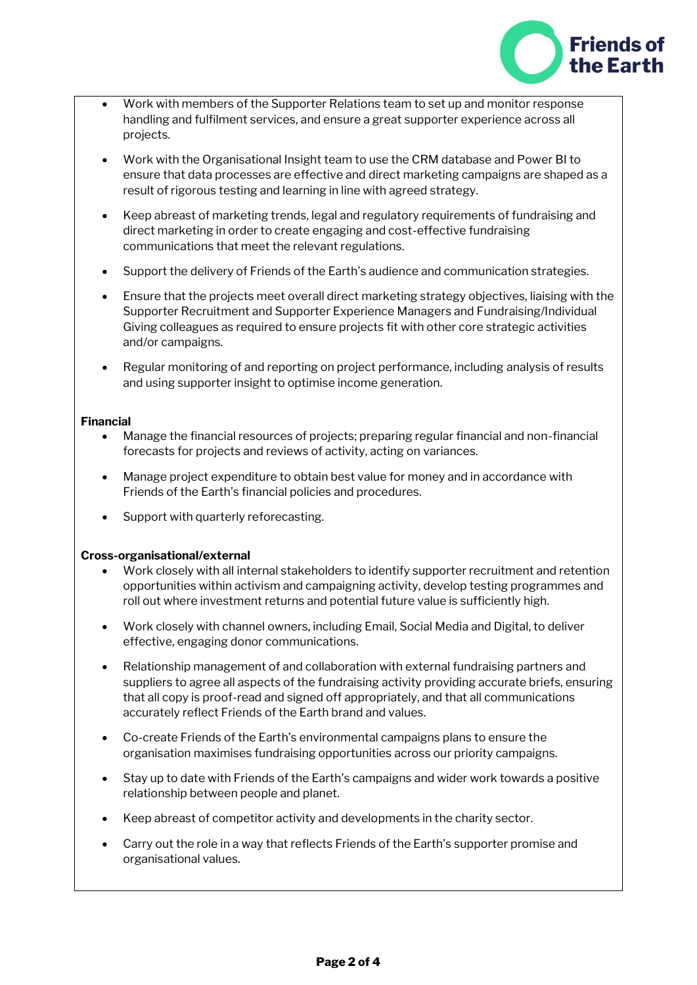

- Work with members of the Supporter Relations team to set up and monitor response handling and fulfilment services, and ensure a great supporter experience across all projects.
- Work with the Organisational Insight team to use the CRM database and Power BI to ensure that data processes are effective and direct marketing campaigns are shaped as a result of rigorous testing and learning in line with agreed strategy.
- Keep abreast of marketing trends, legal and regulatory requirements of fundraising and direct marketing in order to create engaging and cost-effective fundraising communications that meet the relevant regulations.
- Support the delivery of Friends of the Earth's audience and communication strategies.
- Ensure that the projects meet overall direct marketing strategy objectives, liaising with the Supporter Recruitment and Supporter Experience Managers and Fundraising/Individual Giving colleagues as required to ensure projects fit with other core strategic activities and/or campaigns.
- Regular monitoring of and reporting on project performance, including analysis of results and using supporter insight to optimise income generation.

## **Financial**

- Manage the financial resources of projects; preparing regular financial and non-financial forecasts for projects and reviews of activity, acting on variances.
- Manage project expenditure to obtain best value for money and in accordance with Friends of the Earth's financial policies and procedures.
- Support with quarterly reforecasting.

# **Cross-organisational/external**

- Work closely with all internal stakeholders to identify supporter recruitment and retention opportunities within activism and campaigning activity, develop testing programmes and roll out where investment returns and potential future value is sufficiently high.
- Work closely with channel owners, including Email, Social Media and Digital, to deliver effective, engaging donor communications.
- Relationship management of and collaboration with external fundraising partners and suppliers to agree all aspects of the fundraising activity providing accurate briefs, ensuring that all copy is proof-read and signed off appropriately, and that all communications accurately reflect Friends of the Earth brand and values.
- Co-create Friends of the Earth's environmental campaigns plans to ensure the organisation maximises fundraising opportunities across our priority campaigns.
- Stay up to date with Friends of the Earth's campaigns and wider work towards a positive relationship between people and planet.
- Keep abreast of competitor activity and developments in the charity sector.
- Carry out the role in a way that reflects Friends of the Earth's supporter promise and organisational values.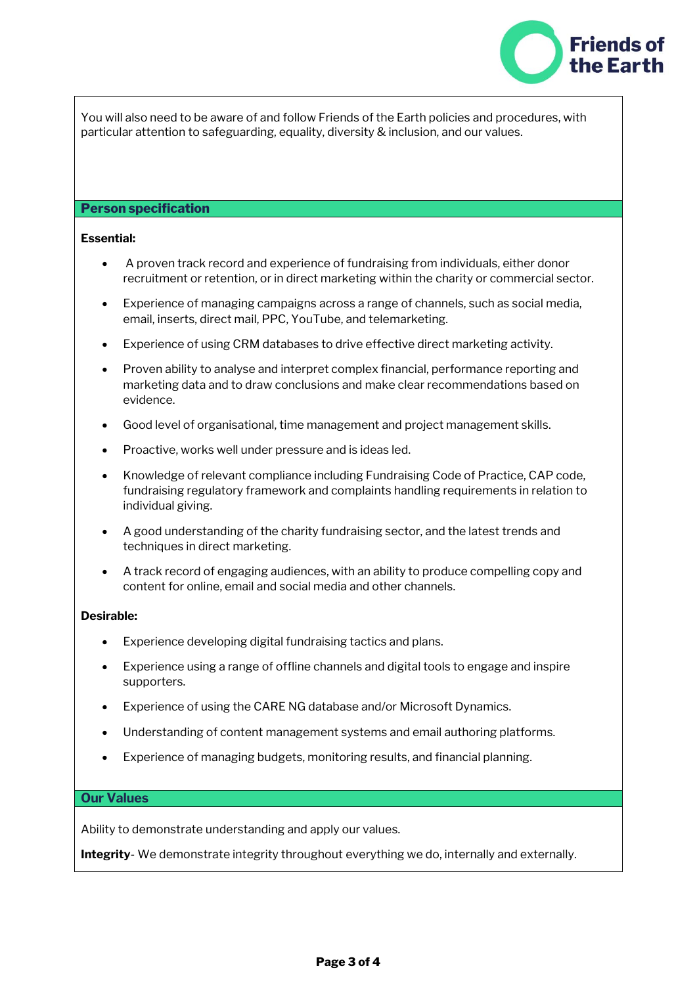

You will also need to be aware of and follow Friends of the Earth policies and procedures, with particular attention to safeguarding, equality, diversity & inclusion, and our values.

### **Person specification**

## **Essential:**

- A proven track record and experience of fundraising from individuals, either donor recruitment or retention, or in direct marketing within the charity or commercial sector.
- Experience of managing campaigns across a range of channels, such as social media, email, inserts, direct mail, PPC, YouTube, and telemarketing.
- Experience of using CRM databases to drive effective direct marketing activity.
- Proven ability to analyse and interpret complex financial, performance reporting and marketing data and to draw conclusions and make clear recommendations based on evidence.
- Good level of organisational, time management and project management skills.
- Proactive, works well under pressure and is ideas led.
- Knowledge of relevant compliance including Fundraising Code of Practice, CAP code, fundraising regulatory framework and complaints handling requirements in relation to individual giving.
- A good understanding of the charity fundraising sector, and the latest trends and techniques in direct marketing.
- A track record of engaging audiences, with an ability to produce compelling copy and content for online, email and social media and other channels.

#### **Desirable:**

- Experience developing digital fundraising tactics and plans.
- Experience using a range of offline channels and digital tools to engage and inspire supporters.
- Experience of using the CARE NG database and/or Microsoft Dynamics.
- Understanding of content management systems and email authoring platforms.
- Experience of managing budgets, monitoring results, and financial planning.

#### **Our Values**

Ability to demonstrate understanding and apply our values.

**Integrity**- We demonstrate integrity throughout everything we do, internally and externally.